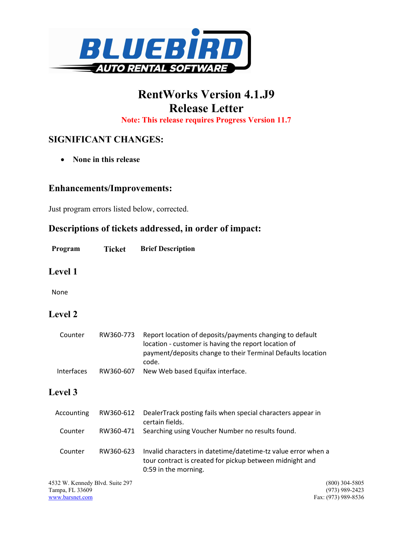

# RentWorks Version 4.1.J9 Release Letter

Note: This release requires Progress Version 11.7

## SIGNIFICANT CHANGES:

• None in this release

#### Enhancements/Improvements:

Just program errors listed below, corrected.

### Descriptions of tickets addressed, in order of impact:

| Program | <b>Ticket</b> | <b>Brief Description</b> |
|---------|---------------|--------------------------|
|         |               |                          |

#### Level 1

None

## Level 2

| Counter    | RW360-773 | Report location of deposits/payments changing to default<br>location - customer is having the report location of<br>payment/deposits change to their Terminal Defaults location<br>code. |
|------------|-----------|------------------------------------------------------------------------------------------------------------------------------------------------------------------------------------------|
| Interfaces | RW360-607 | New Web based Equifax interface.                                                                                                                                                         |

### Level 3

| Accounting                                         | RW360-612 | DealerTrack posting fails when special characters appear in<br>certain fields.                                                                    |
|----------------------------------------------------|-----------|---------------------------------------------------------------------------------------------------------------------------------------------------|
| Counter                                            | RW360-471 | Searching using Voucher Number no results found.                                                                                                  |
| Counter                                            | RW360-623 | Invalid characters in datetime/datetime-tz value error when a<br>tour contract is created for pickup between midnight and<br>0:59 in the morning. |
| 4532 W. Kennedy Blvd. Suite 297<br>Tampa, FL 33609 |           | $(800)$ 304-5805<br>(973) 989-2423                                                                                                                |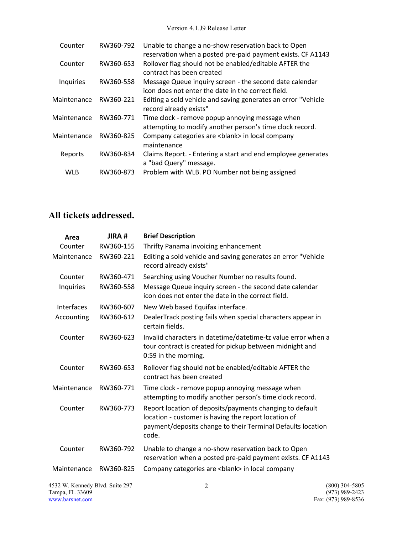| Counter     | RW360-792 | Unable to change a no-show reservation back to Open<br>reservation when a posted pre-paid payment exists. CF A1143 |
|-------------|-----------|--------------------------------------------------------------------------------------------------------------------|
| Counter     | RW360-653 | Rollover flag should not be enabled/editable AFTER the<br>contract has been created                                |
| Inquiries   | RW360-558 | Message Queue inquiry screen - the second date calendar<br>icon does not enter the date in the correct field.      |
| Maintenance | RW360-221 | Editing a sold vehicle and saving generates an error "Vehicle<br>record already exists"                            |
| Maintenance | RW360-771 | Time clock - remove popup annoying message when<br>attempting to modify another person's time clock record.        |
| Maintenance | RW360-825 | Company categories are <blank> in local company<br/>maintenance</blank>                                            |
| Reports     | RW360-834 | Claims Report. - Entering a start and end employee generates<br>a "bad Query" message.                             |
| <b>WLB</b>  | RW360-873 | Problem with WLB. PO Number not being assigned                                                                     |

## All tickets addressed.

| Area                                                                  | JIRA#     | <b>Brief Description</b>                                                                                                                                                                 |                                                           |
|-----------------------------------------------------------------------|-----------|------------------------------------------------------------------------------------------------------------------------------------------------------------------------------------------|-----------------------------------------------------------|
| Counter                                                               | RW360-155 | Thrifty Panama invoicing enhancement                                                                                                                                                     |                                                           |
| Maintenance                                                           | RW360-221 | Editing a sold vehicle and saving generates an error "Vehicle<br>record already exists"                                                                                                  |                                                           |
| Counter                                                               | RW360-471 | Searching using Voucher Number no results found.                                                                                                                                         |                                                           |
| Inquiries                                                             | RW360-558 | Message Queue inquiry screen - the second date calendar<br>icon does not enter the date in the correct field.                                                                            |                                                           |
| Interfaces                                                            | RW360-607 | New Web based Equifax interface.                                                                                                                                                         |                                                           |
| Accounting                                                            | RW360-612 | DealerTrack posting fails when special characters appear in<br>certain fields.                                                                                                           |                                                           |
| Counter                                                               | RW360-623 | Invalid characters in datetime/datetime-tz value error when a<br>tour contract is created for pickup between midnight and<br>0:59 in the morning.                                        |                                                           |
| Counter                                                               | RW360-653 | Rollover flag should not be enabled/editable AFTER the<br>contract has been created                                                                                                      |                                                           |
| Maintenance                                                           | RW360-771 | Time clock - remove popup annoying message when<br>attempting to modify another person's time clock record.                                                                              |                                                           |
| Counter                                                               | RW360-773 | Report location of deposits/payments changing to default<br>location - customer is having the report location of<br>payment/deposits change to their Terminal Defaults location<br>code. |                                                           |
| Counter                                                               | RW360-792 | Unable to change a no-show reservation back to Open<br>reservation when a posted pre-paid payment exists. CF A1143                                                                       |                                                           |
| Maintenance                                                           | RW360-825 | Company categories are<br>blank> in local company                                                                                                                                        |                                                           |
| 4532 W. Kennedy Blvd. Suite 297<br>Tampa, FL 33609<br>www.barsnet.com |           | $\overline{c}$                                                                                                                                                                           | $(800)$ 304-5805<br>(973) 989-2423<br>Fax: (973) 989-8536 |